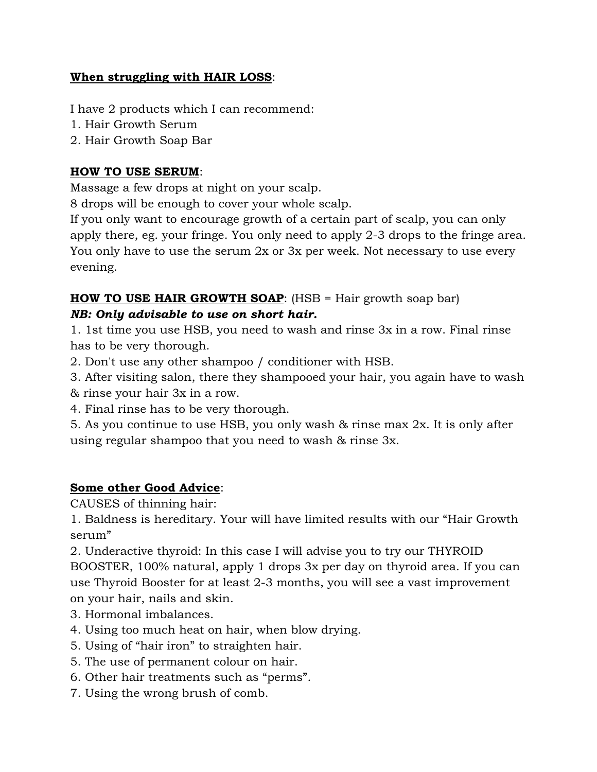#### **When struggling with HAIR LOSS**:

I have 2 products which I can recommend:

- 1. Hair Growth Serum
- 2. Hair Growth Soap Bar

#### **HOW TO USE SERUM**:

Massage a few drops at night on your scalp.

8 drops will be enough to cover your whole scalp.

If you only want to encourage growth of a certain part of scalp, you can only apply there, eg. your fringe. You only need to apply 2-3 drops to the fringe area. You only have to use the serum 2x or 3x per week. Not necessary to use every evening.

# **HOW TO USE HAIR GROWTH SOAP**: (HSB = Hair growth soap bar) *NB: Only advisable to use on short hair.*

1. 1st time you use HSB, you need to wash and rinse 3x in a row. Final rinse has to be very thorough.

- 2. Don't use any other shampoo / conditioner with HSB.
- 3. After visiting salon, there they shampooed your hair, you again have to wash & rinse your hair 3x in a row.
- 4. Final rinse has to be very thorough.

5. As you continue to use HSB, you only wash & rinse max 2x. It is only after using regular shampoo that you need to wash & rinse 3x.

# **Some other Good Advice**:

CAUSES of thinning hair:

1. Baldness is hereditary. Your will have limited results with our "Hair Growth serum"

2. Underactive thyroid: In this case I will advise you to try our THYROID BOOSTER, 100% natural, apply 1 drops 3x per day on thyroid area. If you can use Thyroid Booster for at least 2-3 months, you will see a vast improvement on your hair, nails and skin.

- 3. Hormonal imbalances.
- 4. Using too much heat on hair, when blow drying.
- 5. Using of "hair iron" to straighten hair.
- 5. The use of permanent colour on hair.
- 6. Other hair treatments such as "perms".
- 7. Using the wrong brush of comb.